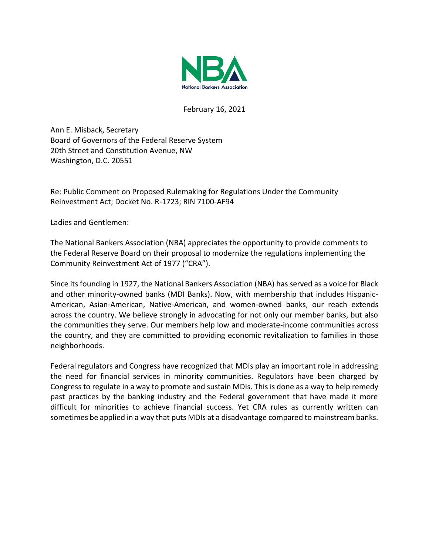

February 16, 2021

Ann E. Misback, Secretary Board of Governors of the Federal Reserve System 20th Street and Constitution Avenue, NW Washington, D.C. 20551

Re: Public Comment on Proposed Rulemaking for Regulations Under the Community Reinvestment Act; Docket No. R-1723; RIN 7100-AF94

Ladies and Gentlemen:

The National Bankers Association (NBA) appreciates the opportunity to provide comments to the Federal Reserve Board on their proposal to modernize the regulations implementing the Community Reinvestment Act of 1977 ("CRA").

Since its founding in 1927, the National Bankers Association (NBA) has served as a voice for Black and other minority-owned banks (MDI Banks). Now, with membership that includes Hispanic-American, Asian-American, Native-American, and women-owned banks, our reach extends across the country. We believe strongly in advocating for not only our member banks, but also the communities they serve. Our members help low and moderate-income communities across the country, and they are committed to providing economic revitalization to families in those neighborhoods.

Federal regulators and Congress have recognized that MDIs play an important role in addressing the need for financial services in minority communities. Regulators have been charged by Congress to regulate in a way to promote and sustain MDIs. This is done as a way to help remedy past practices by the banking industry and the Federal government that have made it more difficult for minorities to achieve financial success. Yet CRA rules as currently written can sometimes be applied in a way that puts MDIs at a disadvantage compared to mainstream banks.